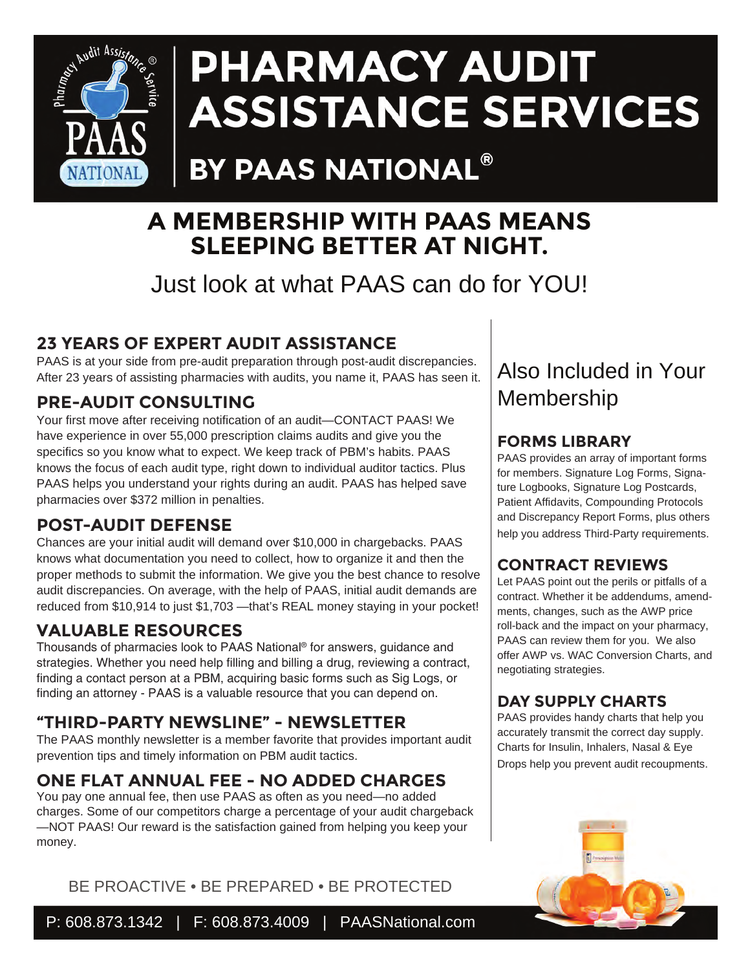

## PHARMACY AUDIT **ASSISTANCE SERVICES**

## BY PAAS NATIONAL®

#### **A MEMBERSHIP WITH PAAS MEANS SLEEPING BETTER AT NIGHT.**

Just look at what PAAS can do for YOU!

#### **23 YEARS OF EXPERT AUDIT ASSISTANCE**

PAAS is at your side from pre-audit preparation through post-audit discrepancies. After 23 years of assisting pharmacies with audits, you name it, PAAS has seen it.

#### **PRE-AUDIT CONSULTING**

Your first move after receiving notification of an audit—CONTACT PAAS! We have experience in over 55,000 prescription claims audits and give you the specifics so you know what to expect. We keep track of PBM's habits. PAAS knows the focus of each audit type, right down to individual auditor tactics. Plus PAAS helps you understand your rights during an audit. PAAS has helped save pharmacies over \$372 million in penalties.

#### **POST-AUDIT DEFENSE**

Chances are your initial audit will demand over \$10,000 in chargebacks. PAAS knows what documentation you need to collect, how to organize it and then the proper methods to submit the information. We give you the best chance to resolve audit discrepancies. On average, with the help of PAAS, initial audit demands are reduced from \$10,914 to just \$1,703 —that's REAL money staying in your pocket!

#### **VALUABLE RESOURCES**

Thousands of pharmacies look to PAAS National® for answers, guidance and strategies. Whether you need help filling and billing a drug, reviewing a contract, finding a contact person at a PBM, acquiring basic forms such as Sig Logs, or finding an attorney - PAAS is a valuable resource that you can depend on.

#### **"THIRD-PARTY NEWSLINE" - NEWSLETTER**

The PAAS monthly newsletter is a member favorite that provides important audit prevention tips and timely information on PBM audit tactics.

#### **ONE FLAT ANNUAL FEE - NO ADDED CHARGES**

You pay one annual fee, then use PAAS as often as you need—no added charges. Some of our competitors charge a percentage of your audit chargeback —NOT PAAS! Our reward is the satisfaction gained from helping you keep your money.

BE PROACTIVE • BE PREPARED • BE PROTECTED

#### Also Included in Your Membership

#### **FORMS LIBRARY**

PAAS provides an array of important forms for members. Signature Log Forms, Signature Logbooks, Signature Log Postcards, Patient Affidavits, Compounding Protocols and Discrepancy Report Forms, plus others help you address Third-Party requirements.

#### **CONTRACT REVIEWS**

Let PAAS point out the perils or pitfalls of a contract. Whether it be addendums, amendments, changes, such as the AWP price roll-back and the impact on your pharmacy, PAAS can review them for you. We also offer AWP vs. WAC Conversion Charts, and negotiating strategies.

#### **DAY SUPPLY CHARTS**

PAAS provides handy charts that help you accurately transmit the correct day supply. Charts for Insulin, Inhalers, Nasal & Eye Drops help you prevent audit recoupments.